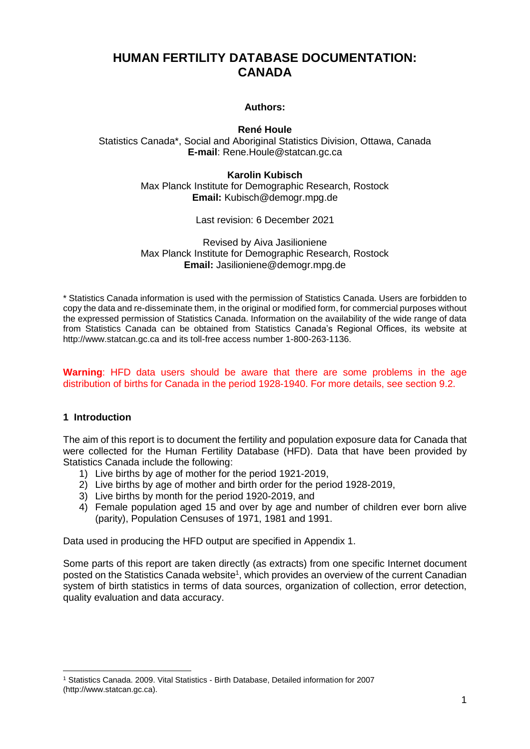# **HUMAN FERTILITY DATABASE DOCUMENTATION: CANADA**

# **Authors:**

# **René Houle**

Statistics Canada\*, Social and Aboriginal Statistics Division, Ottawa, Canada **E-mail**: Rene.Houle@statcan.gc.ca

> **Karolin Kubisch** Max Planck Institute for Demographic Research, Rostock **Email:** Kubisch@demogr.mpg.de

> > Last revision: 6 December 2021

Revised by Aiva Jasilioniene Max Planck Institute for Demographic Research, Rostock **Email:** Jasilioniene@demogr.mpg.de

\* Statistics Canada information is used with the permission of Statistics Canada. Users are forbidden to copy the data and re-disseminate them, in the original or modified form, for commercial purposes without the expressed permission of Statistics Canada. Information on the availability of the wide range of data from Statistics Canada can be obtained from Statistics Canada's Regional Offices, its website at http://www.statcan.gc.ca and its toll-free access number 1-800-263-1136.

#### **Warning**: HFD data users should be aware that there are some problems in the age distribution of births for Canada in the period 1928-1940. For more details, see section 9.2.

## **1 Introduction**

The aim of this report is to document the fertility and population exposure data for Canada that were collected for the Human Fertility Database (HFD). Data that have been provided by Statistics Canada include the following:

- 1) Live births by age of mother for the period 1921-2019,
- 2) Live births by age of mother and birth order for the period 1928-2019,
- 3) Live births by month for the period 1920-2019, and
- 4) Female population aged 15 and over by age and number of children ever born alive (parity), Population Censuses of 1971, 1981 and 1991.

Data used in producing the HFD output are specified in Appendix 1.

Some parts of this report are taken directly (as extracts) from one specific Internet document posted on the Statistics Canada website<sup>1</sup>, which provides an overview of the current Canadian system of birth statistics in terms of data sources, organization of collection, error detection, quality evaluation and data accuracy.

 $\overline{a}$ <sup>1</sup> Statistics Canada. 2009. Vital Statistics - Birth Database, Detailed information for 2007 (http://www.statcan.gc.ca).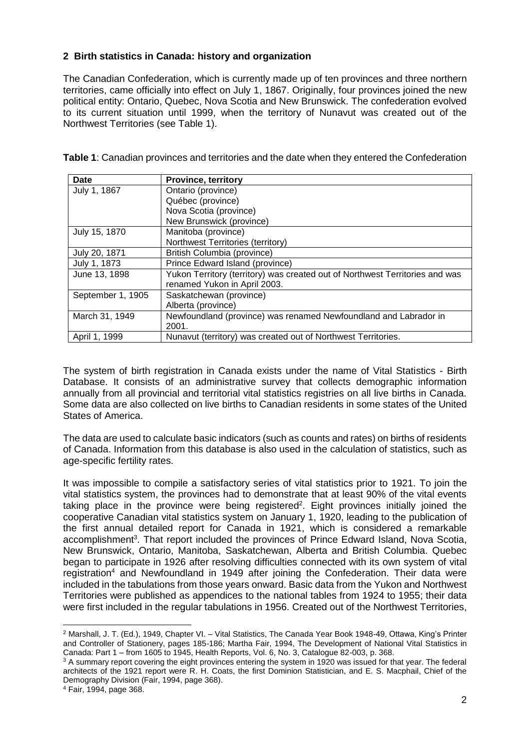# **2 Birth statistics in Canada: history and organization**

The Canadian Confederation, which is currently made up of ten provinces and three northern territories, came officially into effect on July 1, 1867. Originally, four provinces joined the new political entity: Ontario, Quebec, Nova Scotia and New Brunswick. The confederation evolved to its current situation until 1999, when the territory of Nunavut was created out of the Northwest Territories (see Table 1).

**Table 1**: Canadian provinces and territories and the date when they entered the Confederation

| <b>Date</b>       | <b>Province, territory</b>                                                   |
|-------------------|------------------------------------------------------------------------------|
| July 1, 1867      | Ontario (province)                                                           |
|                   | Québec (province)                                                            |
|                   | Nova Scotia (province)                                                       |
|                   | New Brunswick (province)                                                     |
| July 15, 1870     | Manitoba (province)                                                          |
|                   | Northwest Territories (territory)                                            |
| July 20, 1871     | British Columbia (province)                                                  |
| July 1, 1873      | Prince Edward Island (province)                                              |
| June 13, 1898     | Yukon Territory (territory) was created out of Northwest Territories and was |
|                   | renamed Yukon in April 2003.                                                 |
| September 1, 1905 | Saskatchewan (province)                                                      |
|                   | Alberta (province)                                                           |
| March 31, 1949    | Newfoundland (province) was renamed Newfoundland and Labrador in             |
|                   | 2001.                                                                        |
| April 1, 1999     | Nunavut (territory) was created out of Northwest Territories.                |

The system of birth registration in Canada exists under the name of Vital Statistics - Birth Database. It consists of an administrative survey that collects demographic information annually from all provincial and territorial vital statistics registries on all live births in Canada. Some data are also collected on live births to Canadian residents in some states of the United States of America.

The data are used to calculate basic indicators (such as counts and rates) on births of residents of Canada. Information from this database is also used in the calculation of statistics, such as age-specific fertility rates.

It was impossible to compile a satisfactory series of vital statistics prior to 1921. To join the vital statistics system, the provinces had to demonstrate that at least 90% of the vital events taking place in the province were being registered<sup>2</sup>. Eight provinces initially joined the cooperative Canadian vital statistics system on January 1, 1920, leading to the publication of the first annual detailed report for Canada in 1921, which is considered a remarkable accomplishment<sup>3</sup>. That report included the provinces of Prince Edward Island, Nova Scotia, New Brunswick, Ontario, Manitoba, Saskatchewan, Alberta and British Columbia. Quebec began to participate in 1926 after resolving difficulties connected with its own system of vital registration<sup>4</sup> and Newfoundland in 1949 after joining the Confederation. Their data were included in the tabulations from those years onward. Basic data from the Yukon and Northwest Territories were published as appendices to the national tables from 1924 to 1955; their data were first included in the regular tabulations in 1956. Created out of the Northwest Territories,

 $\overline{a}$ <sup>2</sup> Marshall, J. T. (Ed.), 1949, Chapter VI. – Vital Statistics, The Canada Year Book 1948-49, Ottawa, King's Printer and Controller of Stationery, pages 185-186; Martha Fair, 1994, The Development of National Vital Statistics in Canada: Part 1 – from 1605 to 1945, Health Reports, Vol. 6, No. 3, Catalogue 82-003, p. 368.

<sup>&</sup>lt;sup>3</sup> A summary report covering the eight provinces entering the system in 1920 was issued for that year. The federal architects of the 1921 report were R. H. Coats, the first Dominion Statistician, and E. S. Macphail, Chief of the Demography Division (Fair, 1994, page 368).

<sup>4</sup> Fair, 1994, page 368.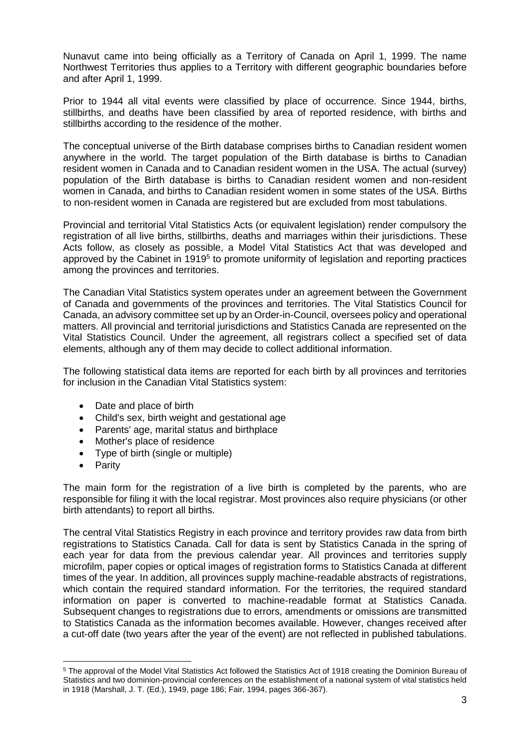Nunavut came into being officially as a Territory of Canada on April 1, 1999. The name Northwest Territories thus applies to a Territory with different geographic boundaries before and after April 1, 1999.

Prior to 1944 all vital events were classified by place of occurrence. Since 1944, births, stillbirths, and deaths have been classified by area of reported residence, with births and stillbirths according to the residence of the mother.

The conceptual universe of the Birth database comprises births to Canadian resident women anywhere in the world. The target population of the Birth database is births to Canadian resident women in Canada and to Canadian resident women in the USA. The actual (survey) population of the Birth database is births to Canadian resident women and non-resident women in Canada, and births to Canadian resident women in some states of the USA. Births to non-resident women in Canada are registered but are excluded from most tabulations.

Provincial and territorial Vital Statistics Acts (or equivalent legislation) render compulsory the registration of all live births, stillbirths, deaths and marriages within their jurisdictions. These Acts follow, as closely as possible, a Model Vital Statistics Act that was developed and approved by the Cabinet in 1919<sup>5</sup> to promote uniformity of legislation and reporting practices among the provinces and territories.

The Canadian Vital Statistics system operates under an agreement between the Government of Canada and governments of the provinces and territories. The Vital Statistics Council for Canada, an advisory committee set up by an Order-in-Council, oversees policy and operational matters. All provincial and territorial jurisdictions and Statistics Canada are represented on the Vital Statistics Council. Under the agreement, all registrars collect a specified set of data elements, although any of them may decide to collect additional information.

The following statistical data items are reported for each birth by all provinces and territories for inclusion in the Canadian Vital Statistics system:

- Date and place of birth
- Child's sex, birth weight and gestational age
- Parents' age, marital status and birthplace
- Mother's place of residence
- Type of birth (single or multiple)
- Parity

The main form for the registration of a live birth is completed by the parents, who are responsible for filing it with the local registrar. Most provinces also require physicians (or other birth attendants) to report all births.

The central Vital Statistics Registry in each province and territory provides raw data from birth registrations to Statistics Canada. Call for data is sent by Statistics Canada in the spring of each year for data from the previous calendar year. All provinces and territories supply microfilm, paper copies or optical images of registration forms to Statistics Canada at different times of the year. In addition, all provinces supply machine-readable abstracts of registrations, which contain the required standard information. For the territories, the required standard information on paper is converted to machine-readable format at Statistics Canada. Subsequent changes to registrations due to errors, amendments or omissions are transmitted to Statistics Canada as the information becomes available. However, changes received after a cut-off date (two years after the year of the event) are not reflected in published tabulations.

 $\overline{a}$ <sup>5</sup> The approval of the Model Vital Statistics Act followed the Statistics Act of 1918 creating the Dominion Bureau of Statistics and two dominion-provincial conferences on the establishment of a national system of vital statistics held in 1918 (Marshall, J. T. (Ed.), 1949, page 186; Fair, 1994, pages 366-367).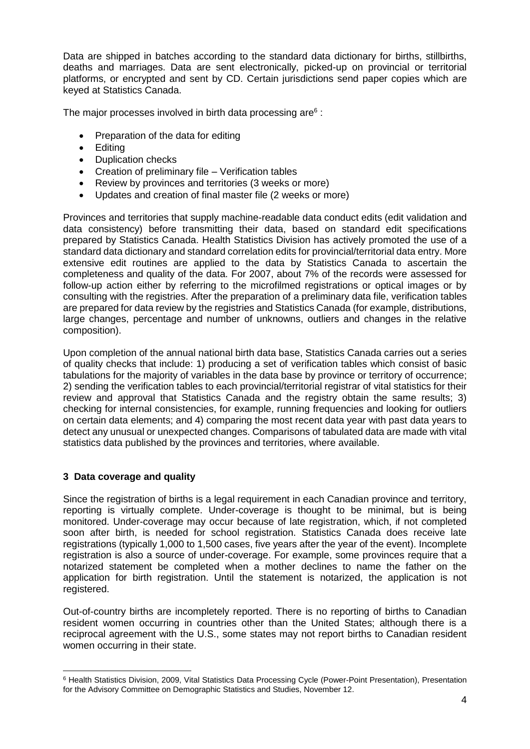Data are shipped in batches according to the standard data dictionary for births, stillbirths, deaths and marriages. Data are sent electronically, picked-up on provincial or territorial platforms, or encrypted and sent by CD. Certain jurisdictions send paper copies which are keyed at Statistics Canada.

The major processes involved in birth data processing are $^{\rm 6}$  :

- Preparation of the data for editing
- Editing
- Duplication checks
- Creation of preliminary file Verification tables
- Review by provinces and territories (3 weeks or more)
- Updates and creation of final master file (2 weeks or more)

Provinces and territories that supply machine-readable data conduct edits (edit validation and data consistency) before transmitting their data, based on standard edit specifications prepared by Statistics Canada. Health Statistics Division has actively promoted the use of a standard data dictionary and standard correlation edits for provincial/territorial data entry. More extensive edit routines are applied to the data by Statistics Canada to ascertain the completeness and quality of the data. For 2007, about 7% of the records were assessed for follow-up action either by referring to the microfilmed registrations or optical images or by consulting with the registries. After the preparation of a preliminary data file, verification tables are prepared for data review by the registries and Statistics Canada (for example, distributions, large changes, percentage and number of unknowns, outliers and changes in the relative composition).

Upon completion of the annual national birth data base, Statistics Canada carries out a series of quality checks that include: 1) producing a set of verification tables which consist of basic tabulations for the majority of variables in the data base by province or territory of occurrence; 2) sending the verification tables to each provincial/territorial registrar of vital statistics for their review and approval that Statistics Canada and the registry obtain the same results; 3) checking for internal consistencies, for example, running frequencies and looking for outliers on certain data elements; and 4) comparing the most recent data year with past data years to detect any unusual or unexpected changes. Comparisons of tabulated data are made with vital statistics data published by the provinces and territories, where available.

## **3 Data coverage and quality**

Since the registration of births is a legal requirement in each Canadian province and territory, reporting is virtually complete. Under-coverage is thought to be minimal, but is being monitored. Under-coverage may occur because of late registration, which, if not completed soon after birth, is needed for school registration. Statistics Canada does receive late registrations (typically 1,000 to 1,500 cases, five years after the year of the event). Incomplete registration is also a source of under-coverage. For example, some provinces require that a notarized statement be completed when a mother declines to name the father on the application for birth registration. Until the statement is notarized, the application is not registered.

Out-of-country births are incompletely reported. There is no reporting of births to Canadian resident women occurring in countries other than the United States; although there is a reciprocal agreement with the U.S., some states may not report births to Canadian resident women occurring in their state.

 $\overline{a}$ <sup>6</sup> Health Statistics Division, 2009, Vital Statistics Data Processing Cycle (Power-Point Presentation), Presentation for the Advisory Committee on Demographic Statistics and Studies, November 12.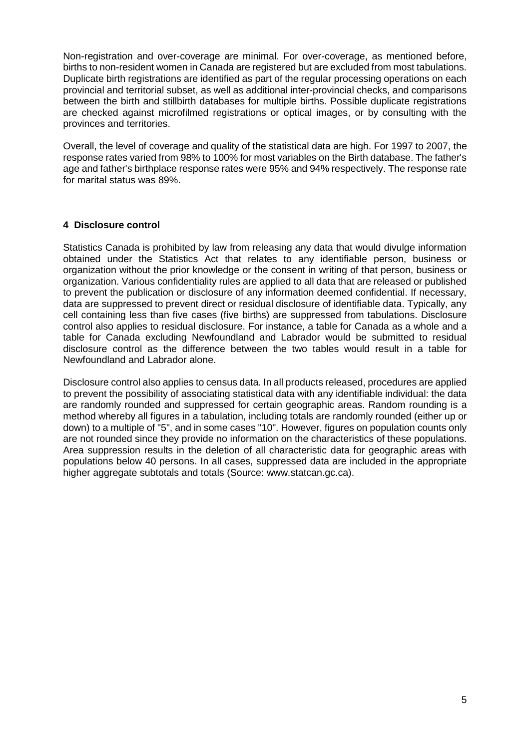Non-registration and over-coverage are minimal. For over-coverage, as mentioned before, births to non-resident women in Canada are registered but are excluded from most tabulations. Duplicate birth registrations are identified as part of the regular processing operations on each provincial and territorial subset, as well as additional inter-provincial checks, and comparisons between the birth and stillbirth databases for multiple births. Possible duplicate registrations are checked against microfilmed registrations or optical images, or by consulting with the provinces and territories.

Overall, the level of coverage and quality of the statistical data are high. For 1997 to 2007, the response rates varied from 98% to 100% for most variables on the Birth database. The father's age and father's birthplace response rates were 95% and 94% respectively. The response rate for marital status was 89%.

# **4 Disclosure control**

Statistics Canada is prohibited by law from releasing any data that would divulge information obtained under the Statistics Act that relates to any identifiable person, business or organization without the prior knowledge or the consent in writing of that person, business or organization. Various confidentiality rules are applied to all data that are released or published to prevent the publication or disclosure of any information deemed confidential. If necessary, data are suppressed to prevent direct or residual disclosure of identifiable data. Typically, any cell containing less than five cases (five births) are suppressed from tabulations. Disclosure control also applies to residual disclosure. For instance, a table for Canada as a whole and a table for Canada excluding Newfoundland and Labrador would be submitted to residual disclosure control as the difference between the two tables would result in a table for Newfoundland and Labrador alone.

Disclosure control also applies to census data. In all products released, procedures are applied to prevent the possibility of associating statistical data with any identifiable individual: the data are randomly rounded and suppressed for certain geographic areas. Random rounding is a method whereby all figures in a tabulation, including totals are randomly rounded (either up or down) to a multiple of "5", and in some cases "10". However, figures on population counts only are not rounded since they provide no information on the characteristics of these populations. Area suppression results in the deletion of all characteristic data for geographic areas with populations below 40 persons. In all cases, suppressed data are included in the appropriate higher aggregate subtotals and totals (Source: www.statcan.gc.ca).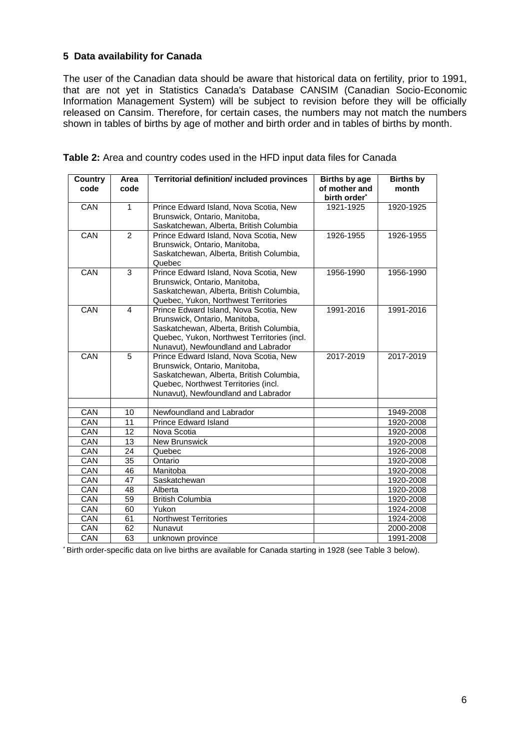# **5 Data availability for Canada**

The user of the Canadian data should be aware that historical data on fertility, prior to 1991, that are not yet in Statistics Canada's Database CANSIM (Canadian Socio-Economic Information Management System) will be subject to revision before they will be officially released on Cansim. Therefore, for certain cases, the numbers may not match the numbers shown in tables of births by age of mother and birth order and in tables of births by month.

| <b>Country</b><br>code | Area<br>code   | <b>Territorial definition/ included provinces</b>                                                                                                                                                         | <b>Births by age</b><br>of mother and<br>birth order <sup>*</sup> | <b>Births by</b><br>month |
|------------------------|----------------|-----------------------------------------------------------------------------------------------------------------------------------------------------------------------------------------------------------|-------------------------------------------------------------------|---------------------------|
| CAN                    | $\mathbf{1}$   | Prince Edward Island, Nova Scotia, New<br>Brunswick, Ontario, Manitoba,<br>Saskatchewan, Alberta, British Columbia                                                                                        | 1921-1925                                                         | 1920-1925                 |
| CAN                    | $\overline{2}$ | Prince Edward Island, Nova Scotia, New<br>Brunswick, Ontario, Manitoba,<br>Saskatchewan, Alberta, British Columbia,<br>Quebec                                                                             | 1926-1955                                                         | 1926-1955                 |
| CAN                    | 3              | Prince Edward Island, Nova Scotia, New<br>Brunswick, Ontario, Manitoba,<br>Saskatchewan, Alberta, British Columbia,<br>Quebec, Yukon, Northwest Territories                                               | 1956-1990                                                         | 1956-1990                 |
| CAN                    | $\overline{4}$ | Prince Edward Island, Nova Scotia, New<br>Brunswick, Ontario, Manitoba,<br>Saskatchewan, Alberta, British Columbia,<br>Quebec, Yukon, Northwest Territories (incl.<br>Nunavut), Newfoundland and Labrador | 1991-2016                                                         | 1991-2016                 |
| CAN                    | 5              | Prince Edward Island, Nova Scotia, New<br>Brunswick, Ontario, Manitoba,<br>Saskatchewan, Alberta, British Columbia,<br>Quebec, Northwest Territories (incl.<br>Nunavut), Newfoundland and Labrador        | 2017-2019                                                         | 2017-2019                 |
| CAN                    | 10             | Newfoundland and Labrador                                                                                                                                                                                 |                                                                   | 1949-2008                 |
| CAN                    | 11             | <b>Prince Edward Island</b>                                                                                                                                                                               |                                                                   | 1920-2008                 |
| CAN                    | 12             | Nova Scotia                                                                                                                                                                                               |                                                                   | 1920-2008                 |
| CAN                    | 13             | New Brunswick                                                                                                                                                                                             |                                                                   | 1920-2008                 |
| CAN                    | 24             | Quebec                                                                                                                                                                                                    |                                                                   | 1926-2008                 |
| CAN                    | 35             | Ontario                                                                                                                                                                                                   |                                                                   | 1920-2008                 |
| CAN                    | 46             | Manitoba                                                                                                                                                                                                  |                                                                   | 1920-2008                 |
| CAN                    | 47             | Saskatchewan                                                                                                                                                                                              |                                                                   | 1920-2008                 |
| CAN                    | 48             | Alberta                                                                                                                                                                                                   |                                                                   | 1920-2008                 |
| CAN                    | 59             | <b>British Columbia</b>                                                                                                                                                                                   |                                                                   | 1920-2008                 |
| CAN                    | 60             | Yukon                                                                                                                                                                                                     |                                                                   | 1924-2008                 |
| CAN                    | 61             | <b>Northwest Territories</b>                                                                                                                                                                              |                                                                   | 1924-2008                 |
| CAN                    | 62             | Nunavut                                                                                                                                                                                                   |                                                                   | 2000-2008                 |
| CAN                    | 63             | unknown province                                                                                                                                                                                          |                                                                   | 1991-2008                 |

**Table 2:** Area and country codes used in the HFD input data files for Canada

\* Birth order-specific data on live births are available for Canada starting in 1928 (see Table 3 below).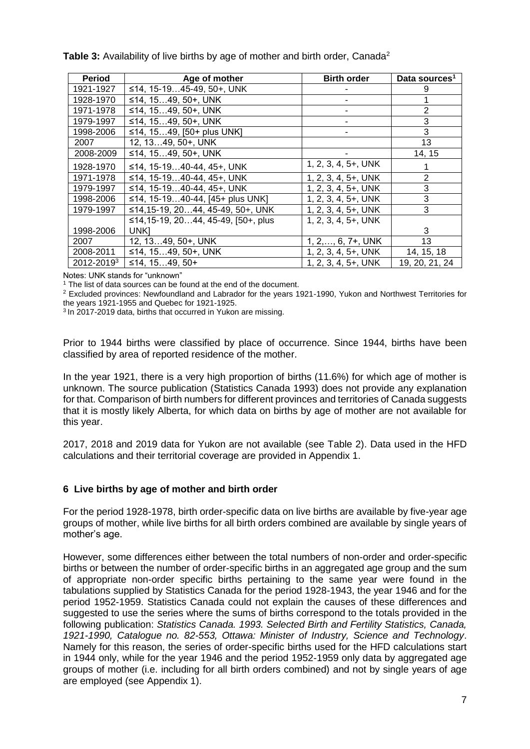| <b>Period</b> | Age of mother                      | <b>Birth order</b>          | Data sources <sup>1</sup> |
|---------------|------------------------------------|-----------------------------|---------------------------|
| 1921-1927     | ≤14, 15-1945-49, 50+, UNK          |                             | 9                         |
| 1928-1970     | ≤14, 1549, 50+, UNK                |                             |                           |
| 1971-1978     | ≤14, 1549, 50+, UNK                |                             | 2                         |
| 1979-1997     | ≤14, 1549, 50+, UNK                |                             | 3                         |
| 1998-2006     | ≤14, 1549, [50+ plus UNK]          |                             | 3                         |
| 2007          | 12, 1349, 50+, UNK                 |                             | 13                        |
| 2008-2009     | ≤14, 1549, 50+, UNK                |                             | 14, 15                    |
| 1928-1970     | ≤14, 15-1940-44, 45+, UNK          | $1, 2, 3, 4, 5+$ , UNK      | 1                         |
| 1971-1978     | ≤14, 15-1940-44, 45+, UNK          | $1, 2, 3, 4, 5+$ , UNK      | 2                         |
| 1979-1997     | ≤14, 15-1940-44, 45+, UNK          | $1, 2, 3, 4, 5+$ , UNK      | 3                         |
| 1998-2006     | ≤14, 15-1940-44, [45+ plus UNK]    | $1, 2, 3, 4, 5+$ , UNK      | 3                         |
| 1979-1997     | ≤14,15-19, 2044, 45-49, 50+, UNK   | $1, 2, 3, 4, 5+$ , UNK      | 3                         |
|               | ≤14,15-19, 2044, 45-49, [50+, plus | $1, 2, 3, 4, 5+$ , UNK      |                           |
| 1998-2006     | UNK1                               |                             | 3                         |
| 2007          | 12, 1349, 50+, UNK                 | $1, 2, \ldots, 6, 7+$ , UNK | 13                        |
| 2008-2011     | ≤14, 1549, 50+, UNK                | $1, 2, 3, 4, 5+$ , UNK      | 14, 15, 18                |
| 2012-20193    | ≤14, 15…49, 50+                    | $1, 2, 3, 4, 5+$ , UNK      | 19, 20, 21, 24            |

**Table 3:** Availability of live births by age of mother and birth order, Canada<sup>2</sup>

Notes: UNK stands for "unknown"

<sup>1</sup> The list of data sources can be found at the end of the document.

<sup>2</sup> Excluded provinces: Newfoundland and Labrador for the years 1921-1990, Yukon and Northwest Territories for the years 1921-1955 and Quebec for 1921-1925.

3 In 2017-2019 data, births that occurred in Yukon are missing.

Prior to 1944 births were classified by place of occurrence. Since 1944, births have been classified by area of reported residence of the mother.

In the year 1921, there is a very high proportion of births (11.6%) for which age of mother is unknown. The source publication (Statistics Canada 1993) does not provide any explanation for that. Comparison of birth numbers for different provinces and territories of Canada suggests that it is mostly likely Alberta, for which data on births by age of mother are not available for this year.

2017, 2018 and 2019 data for Yukon are not available (see Table 2). Data used in the HFD calculations and their territorial coverage are provided in Appendix 1.

## **6 Live births by age of mother and birth order**

For the period 1928-1978, birth order-specific data on live births are available by five-year age groups of mother, while live births for all birth orders combined are available by single years of mother's age.

However, some differences either between the total numbers of non-order and order-specific births or between the number of order-specific births in an aggregated age group and the sum of appropriate non-order specific births pertaining to the same year were found in the tabulations supplied by Statistics Canada for the period 1928-1943, the year 1946 and for the period 1952-1959. Statistics Canada could not explain the causes of these differences and suggested to use the series where the sums of births correspond to the totals provided in the following publication: *Statistics Canada. 1993. Selected Birth and Fertility Statistics, Canada, 1921-1990, Catalogue no. 82-553, Ottawa: Minister of Industry, Science and Technology*. Namely for this reason, the series of order-specific births used for the HFD calculations start in 1944 only, while for the year 1946 and the period 1952-1959 only data by aggregated age groups of mother (i.e. including for all birth orders combined) and not by single years of age are employed (see Appendix 1).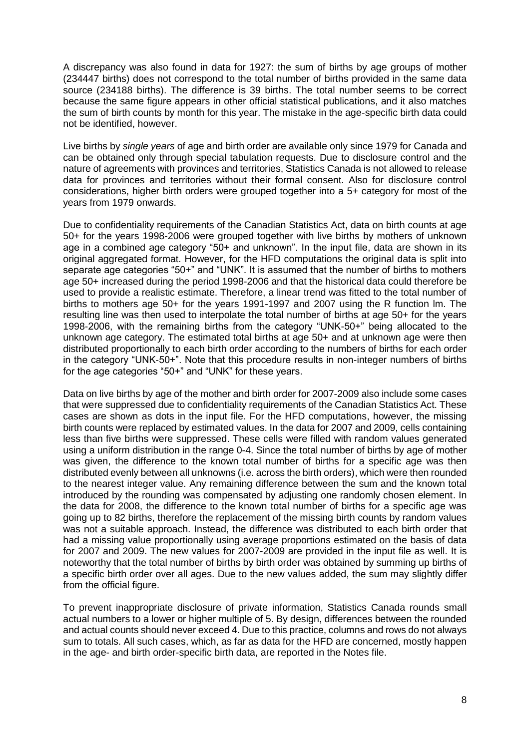A discrepancy was also found in data for 1927: the sum of births by age groups of mother (234447 births) does not correspond to the total number of births provided in the same data source (234188 births). The difference is 39 births. The total number seems to be correct because the same figure appears in other official statistical publications, and it also matches the sum of birth counts by month for this year. The mistake in the age-specific birth data could not be identified, however.

Live births by *single years* of age and birth order are available only since 1979 for Canada and can be obtained only through special tabulation requests. Due to disclosure control and the nature of agreements with provinces and territories, Statistics Canada is not allowed to release data for provinces and territories without their formal consent. Also for disclosure control considerations, higher birth orders were grouped together into a 5+ category for most of the years from 1979 onwards.

Due to confidentiality requirements of the Canadian Statistics Act, data on birth counts at age 50+ for the years 1998-2006 were grouped together with live births by mothers of unknown age in a combined age category "50+ and unknown". In the input file, data are shown in its original aggregated format. However, for the HFD computations the original data is split into separate age categories "50+" and "UNK". It is assumed that the number of births to mothers age 50+ increased during the period 1998-2006 and that the historical data could therefore be used to provide a realistic estimate. Therefore, a linear trend was fitted to the total number of births to mothers age 50+ for the years 1991-1997 and 2007 using the R function lm. The resulting line was then used to interpolate the total number of births at age 50+ for the years 1998-2006, with the remaining births from the category "UNK-50+" being allocated to the unknown age category. The estimated total births at age 50+ and at unknown age were then distributed proportionally to each birth order according to the numbers of births for each order in the category "UNK-50+". Note that this procedure results in non-integer numbers of births for the age categories "50+" and "UNK" for these years.

Data on live births by age of the mother and birth order for 2007-2009 also include some cases that were suppressed due to confidentiality requirements of the Canadian Statistics Act. These cases are shown as dots in the input file. For the HFD computations, however, the missing birth counts were replaced by estimated values. In the data for 2007 and 2009, cells containing less than five births were suppressed. These cells were filled with random values generated using a uniform distribution in the range 0-4. Since the total number of births by age of mother was given, the difference to the known total number of births for a specific age was then distributed evenly between all unknowns (i.e. across the birth orders), which were then rounded to the nearest integer value. Any remaining difference between the sum and the known total introduced by the rounding was compensated by adjusting one randomly chosen element. In the data for 2008, the difference to the known total number of births for a specific age was going up to 82 births, therefore the replacement of the missing birth counts by random values was not a suitable approach. Instead, the difference was distributed to each birth order that had a missing value proportionally using average proportions estimated on the basis of data for 2007 and 2009. The new values for 2007-2009 are provided in the input file as well. It is noteworthy that the total number of births by birth order was obtained by summing up births of a specific birth order over all ages. Due to the new values added, the sum may slightly differ from the official figure.

To prevent inappropriate disclosure of private information, Statistics Canada rounds small actual numbers to a lower or higher multiple of 5. By design, differences between the rounded and actual counts should never exceed 4. Due to this practice, columns and rows do not always sum to totals. All such cases, which, as far as data for the HFD are concerned, mostly happen in the age- and birth order-specific birth data, are reported in the Notes file.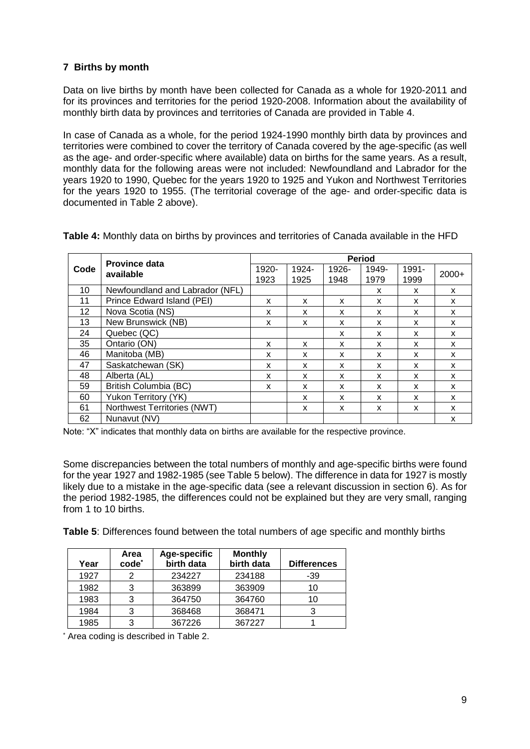# **7 Births by month**

Data on live births by month have been collected for Canada as a whole for 1920-2011 and for its provinces and territories for the period 1920-2008. Information about the availability of monthly birth data by provinces and territories of Canada are provided in Table 4.

In case of Canada as a whole, for the period 1924-1990 monthly birth data by provinces and territories were combined to cover the territory of Canada covered by the age-specific (as well as the age- and order-specific where available) data on births for the same years. As a result, monthly data for the following areas were not included: Newfoundland and Labrador for the years 1920 to 1990, Quebec for the years 1920 to 1925 and Yukon and Northwest Territories for the years 1920 to 1955. (The territorial coverage of the age- and order-specific data is documented in Table 2 above).

|      | <b>Province data</b>            | <b>Period</b> |       |       |       |       |         |
|------|---------------------------------|---------------|-------|-------|-------|-------|---------|
| Code | available                       |               | 1924- | 1926- | 1949- | 1991- | $2000+$ |
|      |                                 | 1923          | 1925  | 1948  | 1979  | 1999  |         |
| 10   | Newfoundland and Labrador (NFL) |               |       |       | x     | x     | X       |
| 11   | Prince Edward Island (PEI)      | X             | X     | X     | X     | X     | X       |
| 12   | Nova Scotia (NS)                | X             | X     | x     | X     | x     | X       |
| 13   | New Brunswick (NB)              | X             | x     | x     | x     | x     | X       |
| 24   | Quebec (QC)                     |               |       | X     | X     | X     | X       |
| 35   | Ontario (ON)                    | x             | x     | x     | x     | x     | X       |
| 46   | Manitoba (MB)                   | X             | x     | X     | X     | X     | X       |
| 47   | Saskatchewan (SK)               | X             | x     | X     | X     | x     | X       |
| 48   | Alberta (AL)                    | x             | x     | x     | X     | x     | X       |
| 59   | <b>British Columbia (BC)</b>    | X             | x     | x     | x     | x     | X       |
| 60   | Yukon Territory (YK)            |               | x     | X     | X     | X     | X       |
| 61   | Northwest Territories (NWT)     |               | x     | x     | X     | x     | X       |
| 62   | Nunavut (NV)                    |               |       |       |       |       | X       |

**Table 4:** Monthly data on births by provinces and territories of Canada available in the HFD

Note: "X" indicates that monthly data on births are available for the respective province.

Some discrepancies between the total numbers of monthly and age-specific births were found for the year 1927 and 1982-1985 (see Table 5 below). The difference in data for 1927 is mostly likely due to a mistake in the age-specific data (see a relevant discussion in section 6). As for the period 1982-1985, the differences could not be explained but they are very small, ranging from 1 to 10 births.

**Table 5**: Differences found between the total numbers of age specific and monthly births

|      | Area              | Age-specific | <b>Monthly</b> |                    |
|------|-------------------|--------------|----------------|--------------------|
| Year | code <sup>*</sup> | birth data   | birth data     | <b>Differences</b> |
| 1927 |                   | 234227       | 234188         | $-39$              |
| 1982 | 3                 | 363899       | 363909         | 10                 |
| 1983 | 3                 | 364750       | 364760         | 10                 |
| 1984 | 3                 | 368468       | 368471         |                    |
| 1985 | 3                 | 367226       | 367227         |                    |

\* Area coding is described in Table 2.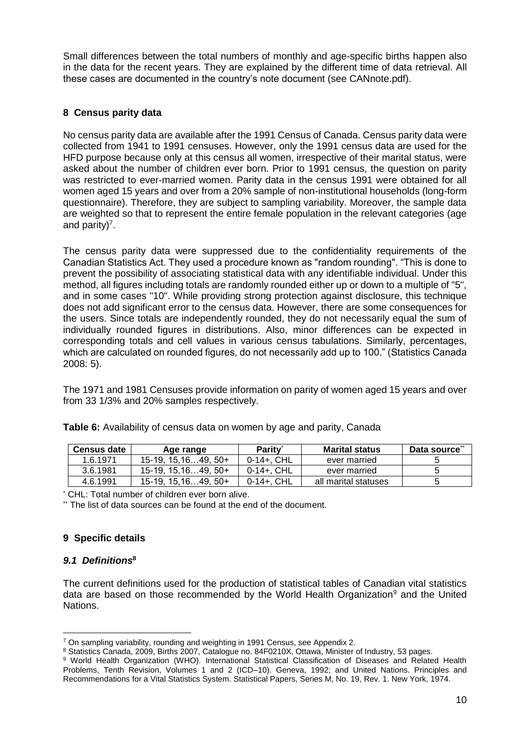Small differences between the total numbers of monthly and age-specific births happen also in the data for the recent years. They are explained by the different time of data retrieval. All these cases are documented in the country's note document (see CANnote.pdf).

# **8 Census parity data**

No census parity data are available after the 1991 Census of Canada. Census parity data were collected from 1941 to 1991 censuses. However, only the 1991 census data are used for the HFD purpose because only at this census all women, irrespective of their marital status, were asked about the number of children ever born. Prior to 1991 census, the question on parity was restricted to ever-married women. Parity data in the census 1991 were obtained for all women aged 15 years and over from a 20% sample of non-institutional households (long-form questionnaire). Therefore, they are subject to sampling variability. Moreover, the sample data are weighted so that to represent the entire female population in the relevant categories (age and parity)<sup>7</sup>.

The census parity data were suppressed due to the confidentiality requirements of the Canadian Statistics Act. They used a procedure known as "random rounding". "This is done to prevent the possibility of associating statistical data with any identifiable individual. Under this method, all figures including totals are randomly rounded either up or down to a multiple of "5", and in some cases "10". While providing strong protection against disclosure, this technique does not add significant error to the census data. However, there are some consequences for the users. Since totals are independently rounded, they do not necessarily equal the sum of individually rounded figures in distributions. Also, minor differences can be expected in corresponding totals and cell values in various census tabulations. Similarly, percentages, which are calculated on rounded figures, do not necessarily add up to 100." (Statistics Canada 2008: 5).

The 1971 and 1981 Censuses provide information on parity of women aged 15 years and over from 33 1/3% and 20% samples respectively.

| <b>Census date</b> | Age range           | Parity <sup>*</sup> | <b>Marital status</b> | Data source <sup>®</sup> |
|--------------------|---------------------|---------------------|-----------------------|--------------------------|
| 1.6.1971           | $15-19.15.1649.50+$ | $0-14+$ . CHL       | ever married          |                          |
| 3.6.1981           | 15-19, 15.1649, 50+ | $0-14+$ . CHL       | ever married          |                          |
| 4.6.1991           | $15-19.15.1649.50+$ | $0-14+$ . CHL       | all marital statuses  |                          |

**Table 6:** Availability of census data on women by age and parity, Canada

\* CHL: Total number of children ever born alive.

\*\* The list of data sources can be found at the end of the document.

# **9 Specific details**

# *9.1 Definitions***<sup>8</sup>**

The current definitions used for the production of statistical tables of Canadian vital statistics data are based on those recommended by the World Health Organization<sup>9</sup> and the United Nations.

 $\overline{a}$  $7$  On sampling variability, rounding and weighting in 1991 Census, see Appendix 2.

<sup>8</sup> Statistics Canada, 2009, Births 2007, Catalogue no. 84F0210X, Ottawa, Minister of Industry, 53 pages. 9 World Health Organization (WHO). International Statistical Classification of Diseases and Related Health

Problems, Tenth Revision, Volumes 1 and 2 (ICD–10). Geneva, 1992; and United Nations. Principles and Recommendations for a Vital Statistics System. Statistical Papers, Series M, No. 19, Rev. 1. New York, 1974.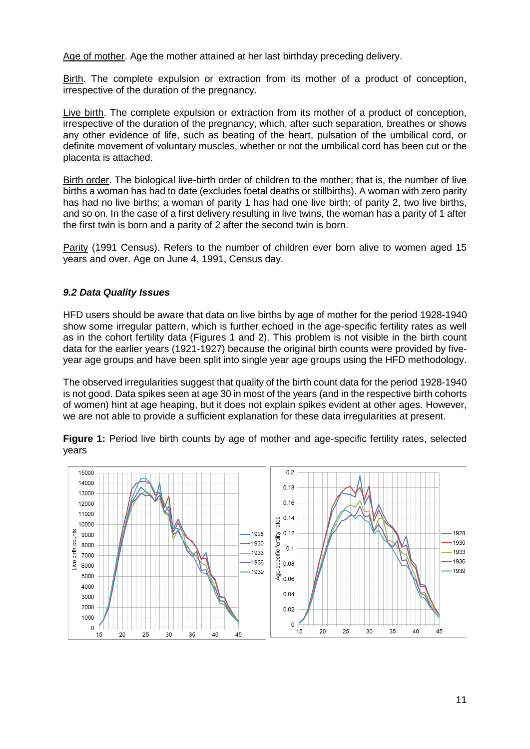Age of mother. Age the mother attained at her last birthday preceding delivery.

Birth. The complete expulsion or extraction from its mother of a product of conception, irrespective of the duration of the pregnancy.

Live birth. The complete expulsion or extraction from its mother of a product of conception, irrespective of the duration of the pregnancy, which, after such separation, breathes or shows any other evidence of life, such as beating of the heart, pulsation of the umbilical cord, or definite movement of voluntary muscles, whether or not the umbilical cord has been cut or the placenta is attached.

Birth order. The biological live-birth order of children to the mother; that is, the number of live births a woman has had to date (excludes foetal deaths or stillbirths). A woman with zero parity has had no live births; a woman of parity 1 has had one live birth; of parity 2, two live births, and so on. In the case of a first delivery resulting in live twins, the woman has a parity of 1 after the first twin is born and a parity of 2 after the second twin is born.

Parity (1991 Census). Refers to the number of children ever born alive to women aged 15 years and over. Age on June 4, 1991, Census day.

# *9.2 Data Quality Issues*

HFD users should be aware that data on live births by age of mother for the period 1928-1940 show some irregular pattern, which is further echoed in the age-specific fertility rates as well as in the cohort fertility data (Figures 1 and 2). This problem is not visible in the birth count data for the earlier years (1921-1927) because the original birth counts were provided by fiveyear age groups and have been split into single year age groups using the HFD methodology.

The observed irregularities suggest that quality of the birth count data for the period 1928-1940 is not good. Data spikes seen at age 30 in most of the years (and in the respective birth cohorts of women) hint at age heaping, but it does not explain spikes evident at other ages. However, we are not able to provide a sufficient explanation for these data irregularities at present.



**Figure 1:** Period live birth counts by age of mother and age-specific fertility rates, selected years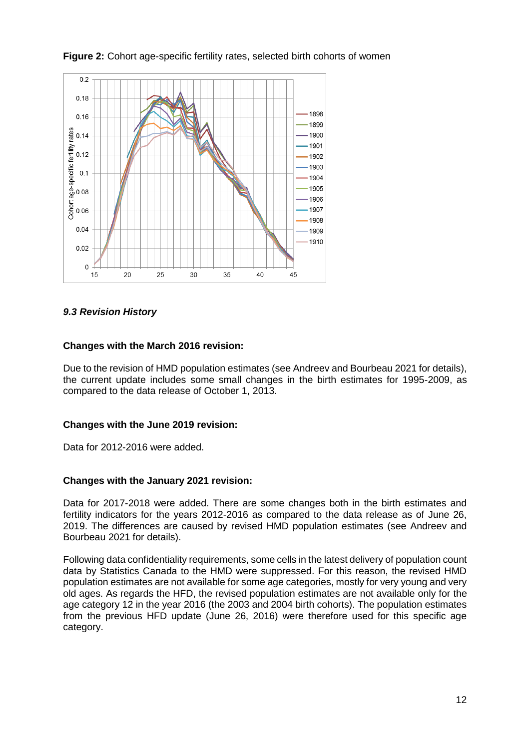

# **Figure 2:** Cohort age-specific fertility rates, selected birth cohorts of women

# *9.3 Revision History*

## **Changes with the March 2016 revision:**

Due to the revision of HMD population estimates (see Andreev and Bourbeau 2021 for details), the current update includes some small changes in the birth estimates for 1995-2009, as compared to the data release of October 1, 2013.

## **Changes with the June 2019 revision:**

Data for 2012-2016 were added.

## **Changes with the January 2021 revision:**

Data for 2017-2018 were added. There are some changes both in the birth estimates and fertility indicators for the years 2012-2016 as compared to the data release as of June 26, 2019. The differences are caused by revised HMD population estimates (see Andreev and Bourbeau 2021 for details).

Following data confidentiality requirements, some cells in the latest delivery of population count data by Statistics Canada to the HMD were suppressed. For this reason, the revised HMD population estimates are not available for some age categories, mostly for very young and very old ages. As regards the HFD, the revised population estimates are not available only for the age category 12 in the year 2016 (the 2003 and 2004 birth cohorts). The population estimates from the previous HFD update (June 26, 2016) were therefore used for this specific age category.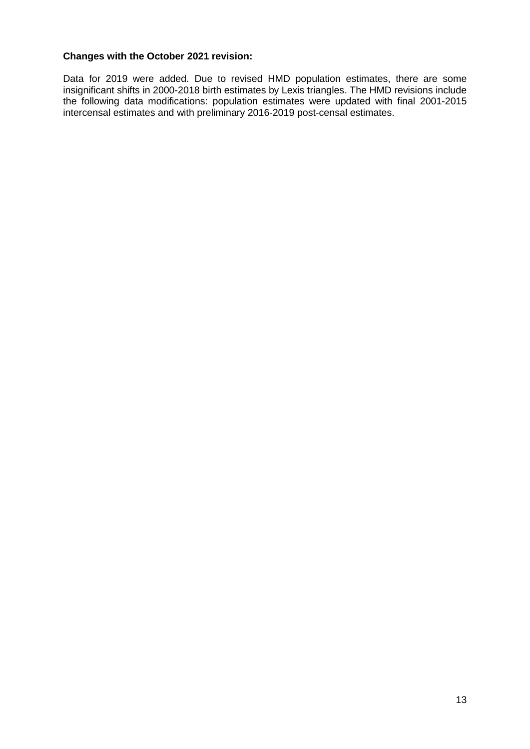# **Changes with the October 2021 revision:**

Data for 2019 were added. Due to revised HMD population estimates, there are some insignificant shifts in 2000-2018 birth estimates by Lexis triangles. The HMD revisions include the following data modifications: population estimates were updated with final 2001-2015 intercensal estimates and with preliminary 2016-2019 post-censal estimates.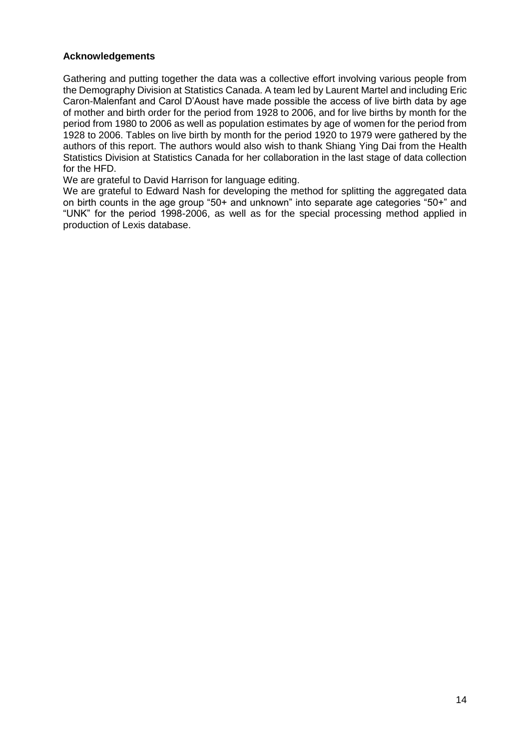## **Acknowledgements**

Gathering and putting together the data was a collective effort involving various people from the Demography Division at Statistics Canada. A team led by Laurent Martel and including Eric Caron-Malenfant and Carol D'Aoust have made possible the access of live birth data by age of mother and birth order for the period from 1928 to 2006, and for live births by month for the period from 1980 to 2006 as well as population estimates by age of women for the period from 1928 to 2006. Tables on live birth by month for the period 1920 to 1979 were gathered by the authors of this report. The authors would also wish to thank Shiang Ying Dai from the Health Statistics Division at Statistics Canada for her collaboration in the last stage of data collection for the HFD.

We are grateful to David Harrison for language editing.

We are grateful to Edward Nash for developing the method for splitting the aggregated data on birth counts in the age group "50+ and unknown" into separate age categories "50+" and "UNK" for the period 1998-2006, as well as for the special processing method applied in production of Lexis database.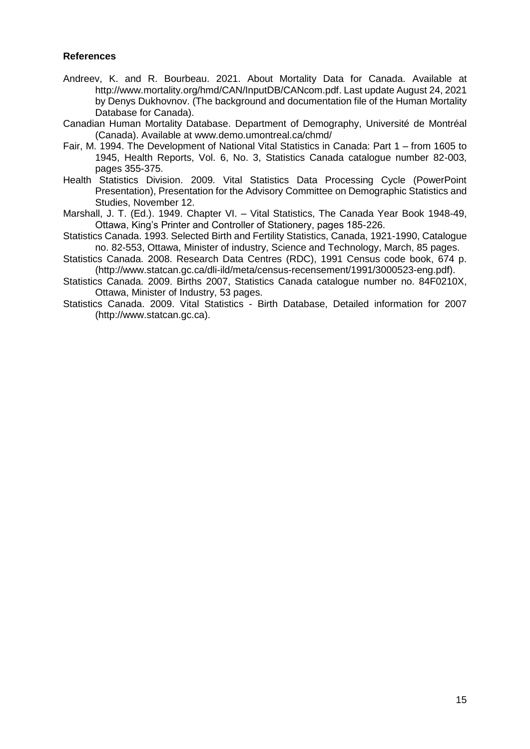#### **References**

- Andreev, K. and R. Bourbeau. 2021. About Mortality Data for Canada. Available at http://www.mortality.org/hmd/CAN/InputDB/CANcom.pdf. Last update August 24, 2021 by Denys Dukhovnov. (The background and documentation file of the Human Mortality Database for Canada).
- Canadian Human Mortality Database. Department of Demography, Université de Montréal (Canada). Available at www.demo.umontreal.ca/chmd/
- Fair, M. 1994. The Development of National Vital Statistics in Canada: Part 1 from 1605 to 1945, Health Reports, Vol. 6, No. 3, Statistics Canada catalogue number 82-003, pages 355-375.
- Health Statistics Division. 2009. Vital Statistics Data Processing Cycle (PowerPoint Presentation), Presentation for the Advisory Committee on Demographic Statistics and Studies, November 12.
- Marshall, J. T. (Ed.). 1949. Chapter VI. Vital Statistics, The Canada Year Book 1948-49, Ottawa, King's Printer and Controller of Stationery, pages 185-226.
- Statistics Canada. 1993. Selected Birth and Fertility Statistics, Canada, 1921-1990, Catalogue no. 82-553, Ottawa, Minister of industry, Science and Technology, March, 85 pages.
- Statistics Canada. 2008. Research Data Centres (RDC), 1991 Census code book, 674 p. (http://www.statcan.gc.ca/dli-ild/meta/census-recensement/1991/3000523-eng.pdf).
- Statistics Canada. 2009. Births 2007, Statistics Canada catalogue number no. 84F0210X, Ottawa, Minister of Industry, 53 pages.
- Statistics Canada. 2009. Vital Statistics Birth Database, Detailed information for 2007 (http://www.statcan.gc.ca).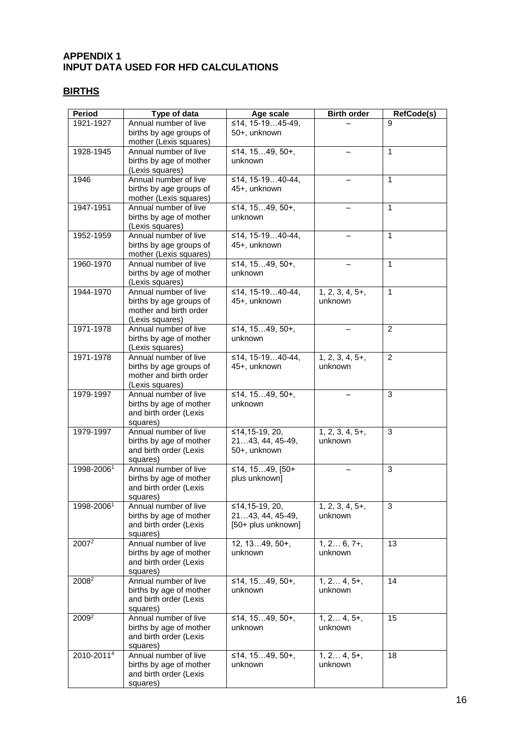# **APPENDIX 1 INPUT DATA USED FOR HFD CALCULATIONS**

# **BIRTHS**

| <b>Period</b>          | Type of data                                      | Age scale                          | <b>Birth order</b>           | RefCode(s)     |
|------------------------|---------------------------------------------------|------------------------------------|------------------------------|----------------|
| 1921-1927              | Annual number of live                             | ≤14, 15-1945-49,                   |                              | g              |
|                        | births by age groups of                           | 50+, unknown                       |                              |                |
|                        | mother (Lexis squares)                            |                                    |                              |                |
| 1928-1945              | Annual number of live<br>births by age of mother  | ≤14, 1549, 50+,<br>unknown         |                              | $\mathbf{1}$   |
|                        | (Lexis squares)                                   |                                    |                              |                |
| 1946                   | Annual number of live                             | ≤14, 15-1940-44,                   |                              | 1              |
|                        | births by age groups of                           | 45+, unknown                       |                              |                |
|                        | mother (Lexis squares)                            |                                    |                              |                |
| 1947-1951              | Annual number of live                             | ≤14, 1549, 50+,                    |                              | $\mathbf{1}$   |
|                        | births by age of mother                           | unknown                            |                              |                |
| 1952-1959              | (Lexis squares)<br>Annual number of live          | ≤14, 15-1940-44,                   |                              | 1              |
|                        | births by age groups of                           | 45+, unknown                       |                              |                |
|                        | mother (Lexis squares)                            |                                    |                              |                |
| 1960-1970              | Annual number of live                             | ≤14, 1549, 50+,                    |                              | $\mathbf{1}$   |
|                        | births by age of mother                           | unknown                            |                              |                |
|                        | (Lexis squares)                                   |                                    |                              |                |
| 1944-1970              | Annual number of live                             | ≤14, 15-1940-44,                   | $1, 2, 3, 4, 5+,$<br>unknown | $\mathbf{1}$   |
|                        | births by age groups of<br>mother and birth order | 45+, unknown                       |                              |                |
|                        | (Lexis squares)                                   |                                    |                              |                |
| 1971-1978              | Annual number of live                             | ≤14, 1549, 50+,                    |                              | 2              |
|                        | births by age of mother                           | unknown                            |                              |                |
|                        | (Lexis squares)                                   |                                    |                              |                |
| 1971-1978              | Annual number of live                             | ≤14, 15-1940-44,                   | $1, 2, 3, 4, 5+,$            | $\overline{2}$ |
|                        | births by age groups of                           | 45+, unknown                       | unknown                      |                |
|                        | mother and birth order<br>(Lexis squares)         |                                    |                              |                |
| 1979-1997              | Annual number of live                             | $\overline{≤14}$ , 1549, 50+,      |                              | 3              |
|                        | births by age of mother                           | unknown                            |                              |                |
|                        | and birth order (Lexis                            |                                    |                              |                |
|                        | squares)                                          |                                    |                              |                |
| 1979-1997              | Annual number of live<br>births by age of mother  | ≤14,15-19, 20,<br>2143, 44, 45-49, | $1, 2, 3, 4, 5+,$<br>unknown | 3              |
|                        | and birth order (Lexis                            | 50+, unknown                       |                              |                |
|                        | squares)                                          |                                    |                              |                |
| 1998-20061             | Annual number of live                             | ≤14, 1549, [50+                    |                              | 3              |
|                        | births by age of mother                           | plus unknown]                      |                              |                |
|                        | and birth order (Lexis                            |                                    |                              |                |
| 1998-20061             | squares)<br>Annual number of live                 | ≤14,15-19, 20,                     | $1, 2, 3, 4, 5+,$            | $\overline{3}$ |
|                        | births by age of mother                           | $2143, 44, 45-49,$                 | unknown                      |                |
|                        | and birth order (Lexis                            | [50+ plus unknown]                 |                              |                |
|                        | squares)                                          |                                    |                              |                |
| $2007^2$               | Annual number of live                             | $12, 1349, 50+,$                   | $1, 2 6, 7+,$                | 13             |
|                        | births by age of mother                           | unknown                            | unknown                      |                |
|                        | and birth order (Lexis                            |                                    |                              |                |
| $2008^2$               | squares)<br>Annual number of live                 | ≤14, 1549, 50+,                    | $1, 2 4, 5+,$                | 14             |
|                        | births by age of mother                           | unknown                            | unknown                      |                |
|                        | and birth order (Lexis                            |                                    |                              |                |
|                        | squares)                                          |                                    |                              |                |
| 2009 <sup>2</sup>      | Annual number of live                             | ≤14, 1549, 50+,                    | $1, 2 4, 5+,$                | 15             |
|                        | births by age of mother                           | unknown                            | unknown                      |                |
|                        | and birth order (Lexis<br>squares)                |                                    |                              |                |
| 2010-2011 <sup>4</sup> | Annual number of live                             | ≤14, 1549, 50+,                    | $1, 2 4, 5+,$                | 18             |
|                        | births by age of mother                           | unknown                            | unknown                      |                |
|                        | and birth order (Lexis                            |                                    |                              |                |
|                        | squares)                                          |                                    |                              |                |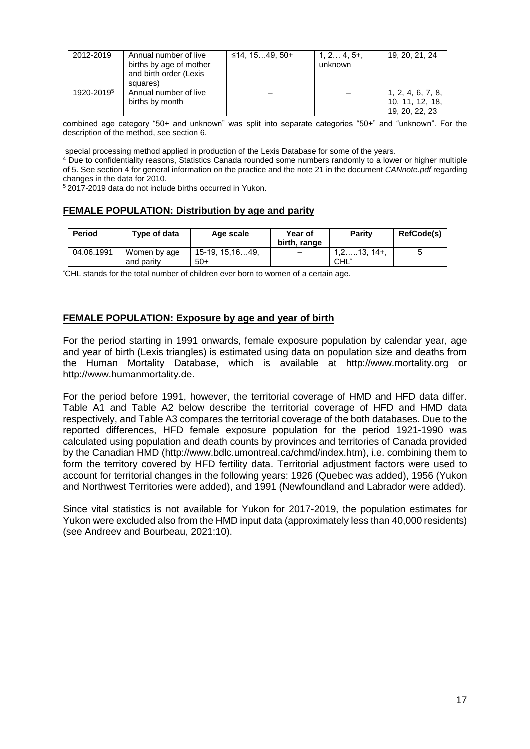| 2012-2019              | Annual number of live<br>births by age of mother<br>and birth order (Lexis<br>squares) | ≤14, 15…49, 50+ | $1, 2 4, 5+,$<br>unknown | 19, 20, 21, 24                                         |
|------------------------|----------------------------------------------------------------------------------------|-----------------|--------------------------|--------------------------------------------------------|
| 1920-2019 <sup>5</sup> | Annual number of live<br>births by month                                               |                 |                          | 1, 2, 4, 6, 7, 8,<br>10, 11, 12, 18,<br>19, 20, 22, 23 |

combined age category "50+ and unknown" was split into separate categories "50+" and "unknown". For the description of the method, see section 6.

special processing method applied in production of the Lexis Database for some of the years.

<sup>4</sup> Due to confidentiality reasons, Statistics Canada rounded some numbers randomly to a lower or higher multiple of 5. See section 4 for general information on the practice and the note 21 in the document *CANnote.pdf* regarding changes in the data for 2010.

<sup>5</sup>2017-2019 data do not include births occurred in Yukon.

## **FEMALE POPULATION: Distribution by age and parity**

| Period     | Type of data               | Age scale                | Year of<br>birth, range  | Parity               | <b>RefCode(s)</b> |
|------------|----------------------------|--------------------------|--------------------------|----------------------|-------------------|
| 04.06.1991 | Women by age<br>and parity | 15-19, 15.1649.<br>$50+$ | $\overline{\phantom{0}}$ | 1.2…13. 14+.<br>CHL' |                   |

\*CHL stands for the total number of children ever born to women of a certain age.

#### **FEMALE POPULATION: Exposure by age and year of birth**

For the period starting in 1991 onwards, female exposure population by calendar year, age and year of birth (Lexis triangles) is estimated using data on population size and deaths from the Human Mortality Database, which is available at http://www.mortality.org or http://www.humanmortality.de.

For the period before 1991, however, the territorial coverage of HMD and HFD data differ. Table A1 and Table A2 below describe the territorial coverage of HFD and HMD data respectively, and Table A3 compares the territorial coverage of the both databases. Due to the reported differences, HFD female exposure population for the period 1921-1990 was calculated using population and death counts by provinces and territories of Canada provided by the Canadian HMD (http://www.bdlc.umontreal.ca/chmd/index.htm), i.e. combining them to form the territory covered by HFD fertility data. Territorial adjustment factors were used to account for territorial changes in the following years: 1926 (Quebec was added), 1956 (Yukon and Northwest Territories were added), and 1991 (Newfoundland and Labrador were added).

Since vital statistics is not available for Yukon for 2017-2019, the population estimates for Yukon were excluded also from the HMD input data (approximately less than 40,000 residents) (see Andreev and Bourbeau, 2021:10).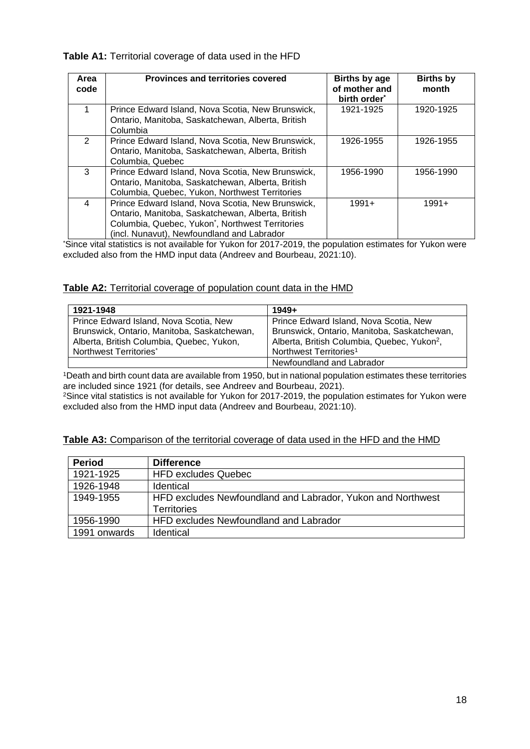#### **Table A1:** Territorial coverage of data used in the HFD

| Area<br>code  | <b>Provinces and territories covered</b>                                                                                                                                                                | Births by age<br>of mother and<br>birth order <sup>*</sup> | <b>Births by</b><br>month |
|---------------|---------------------------------------------------------------------------------------------------------------------------------------------------------------------------------------------------------|------------------------------------------------------------|---------------------------|
|               | Prince Edward Island, Nova Scotia, New Brunswick,<br>Ontario, Manitoba, Saskatchewan, Alberta, British<br>Columbia                                                                                      | 1921-1925                                                  | 1920-1925                 |
| $\mathcal{P}$ | Prince Edward Island, Nova Scotia, New Brunswick,<br>Ontario, Manitoba, Saskatchewan, Alberta, British<br>Columbia, Quebec                                                                              | 1926-1955                                                  | 1926-1955                 |
| 3             | Prince Edward Island, Nova Scotia, New Brunswick,<br>Ontario, Manitoba, Saskatchewan, Alberta, British<br>Columbia, Quebec, Yukon, Northwest Territories                                                | 1956-1990                                                  | 1956-1990                 |
| 4             | Prince Edward Island, Nova Scotia, New Brunswick,<br>Ontario, Manitoba, Saskatchewan, Alberta, British<br>Columbia, Quebec, Yukon*, Northwest Territories<br>(incl. Nunavut), Newfoundland and Labrador | $1991+$                                                    | $1991+$                   |

\*Since vital statistics is not available for Yukon for 2017-2019, the population estimates for Yukon were excluded also from the HMD input data (Andreev and Bourbeau, 2021:10).

## **Table A2:** Territorial coverage of population count data in the HMD

| 1921-1948                                   | $1949+$                                                 |
|---------------------------------------------|---------------------------------------------------------|
| Prince Edward Island, Nova Scotia, New      | Prince Edward Island, Nova Scotia, New                  |
| Brunswick, Ontario, Manitoba, Saskatchewan, | Brunswick, Ontario, Manitoba, Saskatchewan,             |
| Alberta, British Columbia, Quebec, Yukon,   | Alberta, British Columbia, Quebec, Yukon <sup>2</sup> , |
| Northwest Territories*                      | Northwest Territories <sup>1</sup>                      |
|                                             | Newfoundland and Labrador                               |

<sup>1</sup>Death and birth count data are available from 1950, but in national population estimates these territories are included since 1921 (for details, see Andreev and Bourbeau, 2021).

<sup>2</sup>Since vital statistics is not available for Yukon for 2017-2019, the population estimates for Yukon were excluded also from the HMD input data (Andreev and Bourbeau, 2021:10).

#### Table A3: Comparison of the territorial coverage of data used in the HFD and the HMD

| <b>Period</b> | <b>Difference</b>                                           |
|---------------|-------------------------------------------------------------|
| 1921-1925     | <b>HFD excludes Quebec</b>                                  |
| 1926-1948     | <b>Identical</b>                                            |
| 1949-1955     | HFD excludes Newfoundland and Labrador, Yukon and Northwest |
|               | <b>Territories</b>                                          |
| 1956-1990     | HFD excludes Newfoundland and Labrador                      |
| 1991 onwards  | Identical                                                   |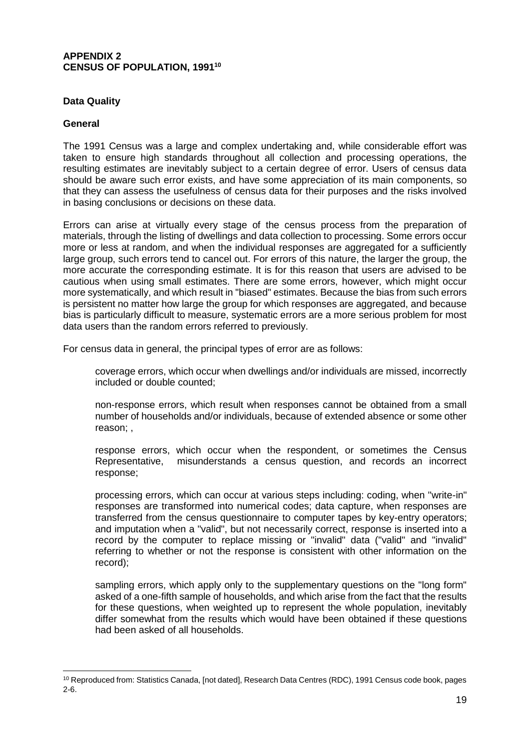#### **APPENDIX 2 CENSUS OF POPULATION, 1991<sup>10</sup>**

## **Data Quality**

#### **General**

 $\overline{a}$ 

The 1991 Census was a large and complex undertaking and, while considerable effort was taken to ensure high standards throughout all collection and processing operations, the resulting estimates are inevitably subject to a certain degree of error. Users of census data should be aware such error exists, and have some appreciation of its main components, so that they can assess the usefulness of census data for their purposes and the risks involved in basing conclusions or decisions on these data.

Errors can arise at virtually every stage of the census process from the preparation of materials, through the listing of dwellings and data collection to processing. Some errors occur more or less at random, and when the individual responses are aggregated for a sufficiently large group, such errors tend to cancel out. For errors of this nature, the larger the group, the more accurate the corresponding estimate. It is for this reason that users are advised to be cautious when using small estimates. There are some errors, however, which might occur more systematically, and which result in "biased" estimates. Because the bias from such errors is persistent no matter how large the group for which responses are aggregated, and because bias is particularly difficult to measure, systematic errors are a more serious problem for most data users than the random errors referred to previously.

For census data in general, the principal types of error are as follows:

coverage errors, which occur when dwellings and/or individuals are missed, incorrectly included or double counted;

non-response errors, which result when responses cannot be obtained from a small number of households and/or individuals, because of extended absence or some other reason; ,

response errors, which occur when the respondent, or sometimes the Census Representative, misunderstands a census question, and records an incorrect response;

processing errors, which can occur at various steps including: coding, when ''write-in" responses are transformed into numerical codes; data capture, when responses are transferred from the census questionnaire to computer tapes by key-entry operators; and imputation when a "valid", but not necessarily correct, response is inserted into a record by the computer to replace missing or "invalid" data ("valid" and "invalid" referring to whether or not the response is consistent with other information on the record);

sampling errors, which apply only to the supplementary questions on the "long form" asked of a one-fifth sample of households, and which arise from the fact that the results for these questions, when weighted up to represent the whole population, inevitably differ somewhat from the results which would have been obtained if these questions had been asked of all households.

<sup>10</sup> Reproduced from: Statistics Canada, [not dated], Research Data Centres (RDC), 1991 Census code book, pages 2-6.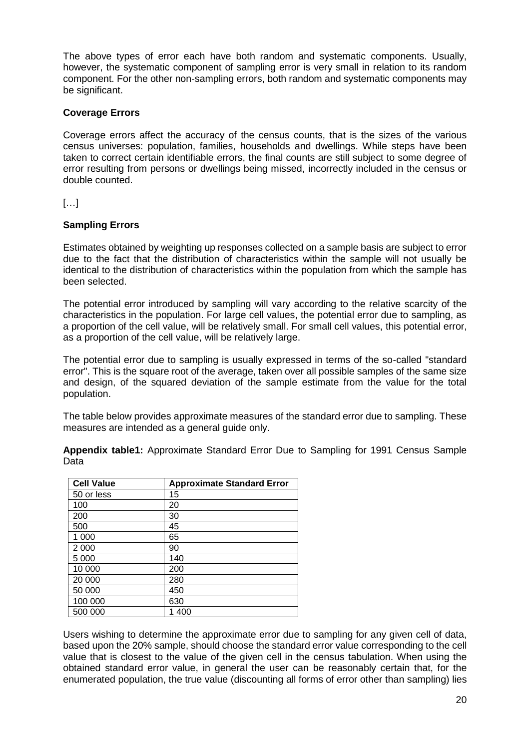The above types of error each have both random and systematic components. Usually, however, the systematic component of sampling error is very small in relation to its random component. For the other non-sampling errors, both random and systematic components may be significant.

# **Coverage Errors**

Coverage errors affect the accuracy of the census counts, that is the sizes of the various census universes: population, families, households and dwellings. While steps have been taken to correct certain identifiable errors, the final counts are still subject to some degree of error resulting from persons or dwellings being missed, incorrectly included in the census or double counted.

[…]

# **Sampling Errors**

Estimates obtained by weighting up responses collected on a sample basis are subject to error due to the fact that the distribution of characteristics within the sample will not usually be identical to the distribution of characteristics within the population from which the sample has been selected.

The potential error introduced by sampling will vary according to the relative scarcity of the characteristics in the population. For large cell values, the potential error due to sampling, as a proportion of the cell value, will be relatively small. For small cell values, this potential error, as a proportion of the cell value, will be relatively large.

The potential error due to sampling is usually expressed in terms of the so-called "standard error". This is the square root of the average, taken over all possible samples of the same size and design, of the squared deviation of the sample estimate from the value for the total population.

The table below provides approximate measures of the standard error due to sampling. These measures are intended as a general guide only.

| <b>Cell Value</b> | <b>Approximate Standard Error</b> |
|-------------------|-----------------------------------|
| 50 or less        | 15                                |
| 100               | 20                                |
| 200               | 30                                |
| 500               | 45                                |
| 1 000             | 65                                |
| 2 0 0 0           | 90                                |
| 5 0 0 0           | 140                               |
| 10 000            | 200                               |
| 20 000            | 280                               |
| 50 000            | 450                               |
| 100 000           | 630                               |
| 500 000           | 1 400                             |

**Appendix table1:** Approximate Standard Error Due to Sampling for 1991 Census Sample Data

Users wishing to determine the approximate error due to sampling for any given cell of data, based upon the 20% sample, should choose the standard error value corresponding to the cell value that is closest to the value of the given cell in the census tabulation. When using the obtained standard error value, in general the user can be reasonably certain that, for the enumerated population, the true value (discounting all forms of error other than sampling) lies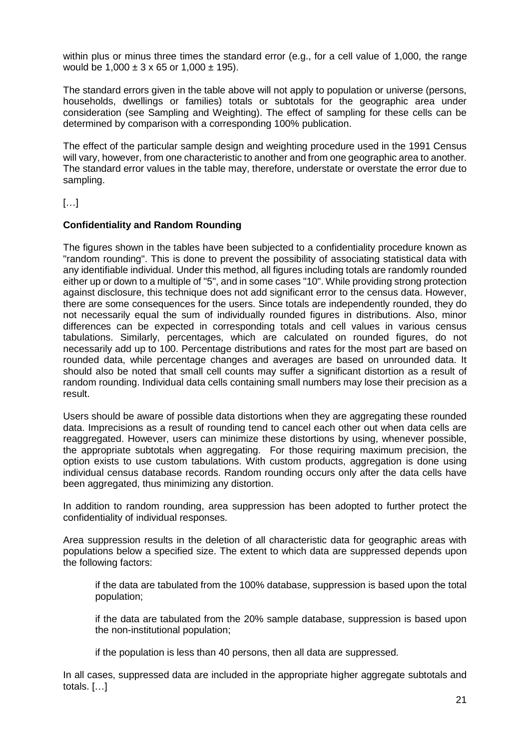within plus or minus three times the standard error (e.g., for a cell value of 1,000, the range would be  $1,000 \pm 3 \times 65$  or  $1,000 \pm 195$ .

The standard errors given in the table above will not apply to population or universe (persons, households, dwellings or families) totals or subtotals for the geographic area under consideration (see Sampling and Weighting). The effect of sampling for these cells can be determined by comparison with a corresponding 100% publication.

The effect of the particular sample design and weighting procedure used in the 1991 Census will vary, however, from one characteristic to another and from one geographic area to another. The standard error values in the table may, therefore, understate or overstate the error due to sampling.

[…]

## **Confidentiality and Random Rounding**

The figures shown in the tables have been subjected to a confidentiality procedure known as "random rounding". This is done to prevent the possibility of associating statistical data with any identifiable individual. Under this method, all figures including totals are randomly rounded either up or down to a multiple of "5", and in some cases "10". While providing strong protection against disclosure, this technique does not add significant error to the census data. However, there are some consequences for the users. Since totals are independently rounded, they do not necessarily equal the sum of individually rounded figures in distributions. Also, minor differences can be expected in corresponding totals and cell values in various census tabulations. Similarly, percentages, which are calculated on rounded figures, do not necessarily add up to 100. Percentage distributions and rates for the most part are based on rounded data, while percentage changes and averages are based on unrounded data. It should also be noted that small cell counts may suffer a significant distortion as a result of random rounding. Individual data cells containing small numbers may lose their precision as a result.

Users should be aware of possible data distortions when they are aggregating these rounded data. Imprecisions as a result of rounding tend to cancel each other out when data cells are reaggregated. However, users can minimize these distortions by using, whenever possible, the appropriate subtotals when aggregating. For those requiring maximum precision, the option exists to use custom tabulations. With custom products, aggregation is done using individual census database records. Random rounding occurs only after the data cells have been aggregated, thus minimizing any distortion.

In addition to random rounding, area suppression has been adopted to further protect the confidentiality of individual responses.

Area suppression results in the deletion of all characteristic data for geographic areas with populations below a specified size. The extent to which data are suppressed depends upon the following factors:

if the data are tabulated from the 100% database, suppression is based upon the total population;

if the data are tabulated from the 20% sample database, suppression is based upon the non-institutional population;

if the population is less than 40 persons, then all data are suppressed.

In all cases, suppressed data are included in the appropriate higher aggregate subtotals and totals. […]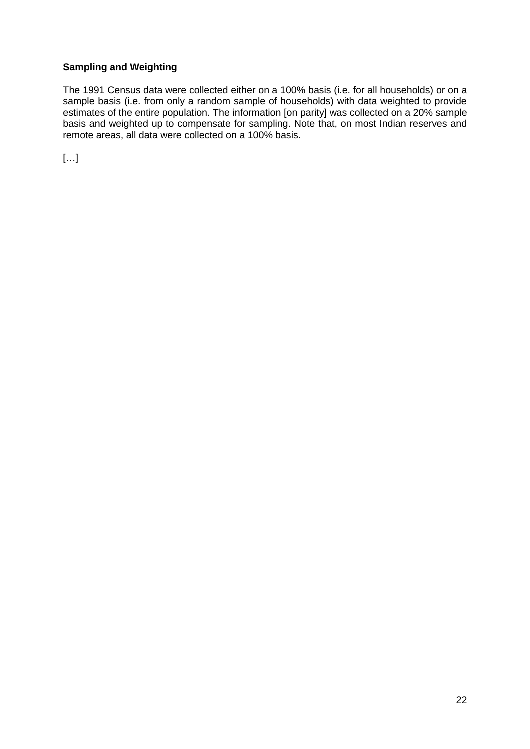# **Sampling and Weighting**

The 1991 Census data were collected either on a 100% basis (i.e. for all households) or on a sample basis (i.e. from only a random sample of households) with data weighted to provide estimates of the entire population. The information [on parity] was collected on a 20% sample basis and weighted up to compensate for sampling. Note that, on most Indian reserves and remote areas, all data were collected on a 100% basis.

[…]